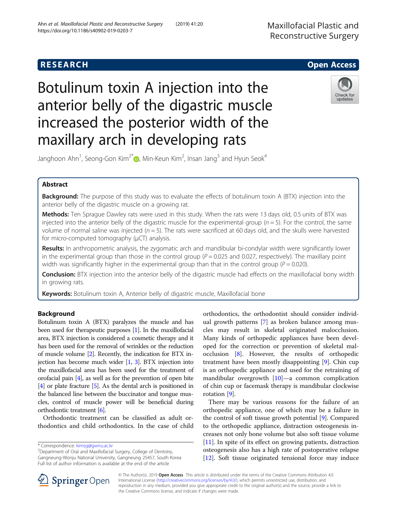# **RESEARCH CHILD CONTROL** CONTROL CONTROL CONTROL CONTROL CONTROL CONTROL CONTROL CONTROL CONTROL CONTROL CONTROL

# Botulinum toxin A injection into the anterior belly of the digastric muscle increased the posterior width of the maxillary arch in developing rats



Janghoon Ahn<sup>1</sup>, Seong-Gon Kim<sup>2[\\*](http://orcid.org/0000-0001-5088-2732)</sup> $\textsf{D}$ , Min-Keun Kim<sup>2</sup>, Insan Jang<sup>3</sup> and Hyun Seok<sup>4</sup>

# Abstract

Background: The purpose of this study was to evaluate the effects of botulinum toxin A (BTX) injection into the anterior belly of the digastric muscle on a growing rat.

Methods: Ten Sprague Dawley rats were used in this study. When the rats were 13 days old, 0.5 units of BTX was injected into the anterior belly of the digastric muscle for the experimental group ( $n = 5$ ). For the control, the same volume of normal saline was injected ( $n = 5$ ). The rats were sacrificed at 60 days old, and the skulls were harvested for micro-computed tomography (μCT) analysis.

Results: In anthropometric analysis, the zygomatic arch and mandibular bi-condylar width were significantly lower in the experimental group than those in the control group  $(P = 0.025$  and 0.027, respectively). The maxillary point width was significantly higher in the experimental group than that in the control group ( $P = 0.020$ ).

**Conclusion:** BTX injection into the anterior belly of the digastric muscle had effects on the maxillofacial bony width in growing rats.

Keywords: Botulinum toxin A, Anterior belly of digastric muscle, Maxillofacial bone

# Background

Botulinum toxin A (BTX) paralyzes the muscle and has been used for therapeutic purposes [[1](#page-6-0)]. In the maxillofacial area, BTX injection is considered a cosmetic therapy and it has been used for the removal of wrinkles or the reduction of muscle volume [[2](#page-6-0)]. Recently, the indication for BTX injection has become much wider  $[1, 3]$  $[1, 3]$  $[1, 3]$  $[1, 3]$ . BTX injection into the maxillofacial area has been used for the treatment of orofacial pain [[4](#page-6-0)], as well as for the prevention of open bite [[4](#page-6-0)] or plate fracture [[5](#page-6-0)]. As the dental arch is positioned in the balanced line between the buccinator and tongue muscles, control of muscle power will be beneficial during orthodontic treatment [\[6](#page-6-0)].

Orthodontic treatment can be classified as adult orthodontics and child orthodontics. In the case of child

orthodontics, the orthodontist should consider individual growth patterns [\[7](#page-6-0)] as broken balance among muscles may result in skeletal originated malocclusion. Many kinds of orthopedic appliances have been developed for the correction or prevention of skeletal malocclusion [\[8](#page-6-0)]. However, the results of orthopedic treatment have been mostly disappointing [\[9](#page-6-0)]. Chin cup is an orthopedic appliance and used for the retraining of mandibular overgrowth [[10\]](#page-6-0)—a common complication of chin cup or facemask therapy is mandibular clockwise rotation [\[9](#page-6-0)].

There may be various reasons for the failure of an orthopedic appliance, one of which may be a failure in the control of soft tissue growth potential [\[9](#page-6-0)]. Compared to the orthopedic appliance, distraction osteogenesis increases not only bone volume but also soft tissue volume [[11\]](#page-6-0). In spite of its effect on growing patients, distraction osteogenesis also has a high rate of postoperative relapse [[12\]](#page-6-0). Soft tissue originated tensional force may induce



© The Author(s). 2019 Open Access This article is distributed under the terms of the Creative Commons Attribution 4.0 International License ([http://creativecommons.org/licenses/by/4.0/\)](http://creativecommons.org/licenses/by/4.0/), which permits unrestricted use, distribution, and reproduction in any medium, provided you give appropriate credit to the original author(s) and the source, provide a link to the Creative Commons license, and indicate if changes were made.

<sup>\*</sup> Correspondence: [kimsg@gwnu.ac.kr](mailto:kimsg@gwnu.ac.kr) <sup>2</sup>

Department of Oral and Maxillofacial Surgery, College of Dentistry, Gangneung-Wonju National University, Gangneung 25457, South Korea Full list of author information is available at the end of the article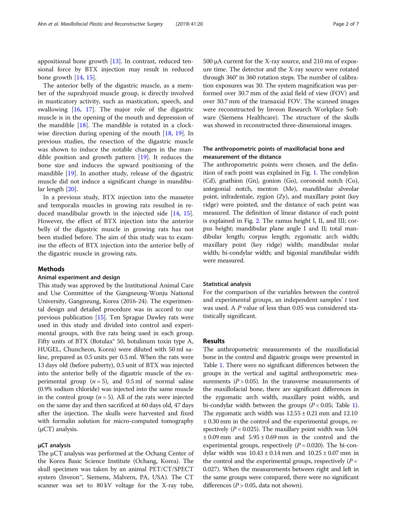appositional bone growth [\[13](#page-6-0)]. In contrast, reduced tensional force by BTX injection may result in reduced bone growth [[14](#page-6-0), [15](#page-6-0)].

The anterior belly of the digastric muscle, as a member of the suprahyoid muscle group, is directly involved in masticatory activity, such as mastication, speech, and swallowing [[16](#page-6-0), [17](#page-6-0)]. The major role of the digastric muscle is in the opening of the mouth and depression of the mandible  $[18]$ . The mandible is rotated in a clockwise direction during opening of the mouth [\[18](#page-6-0), [19\]](#page-6-0). In previous studies, the resection of the digastric muscle was shown to induce the notable changes in the mandible position and growth pattern [\[19](#page-6-0)]. It reduces the bone size and induces the upward positioning of the mandible [\[19](#page-6-0)]. In another study, release of the digastric muscle did not induce a significant change in mandibular length [[20\]](#page-6-0).

In a previous study, BTX injection into the masseter and temporalis muscles in growing rats resulted in reduced mandibular growth in the injected side [\[14,](#page-6-0) [15](#page-6-0)]. However, the effect of BTX injection into the anterior belly of the digastric muscle in growing rats has not been studied before. The aim of this study was to examine the effects of BTX injection into the anterior belly of the digastric muscle in growing rats.

#### Methods

#### Animal experiment and design

This study was approved by the Institutional Animal Care and Use Committee of the Gangneung-Wonju National University, Gangneung, Korea (2016-24). The experimental design and detailed procedure was in accord to our previous publication [\[15\]](#page-6-0). Ten Sprague Dawley rats were used in this study and divided into control and experimental groups, with five rats being used in each group. Fifty units of BTX (Botulax<sup>®</sup> 50, botulinum toxin type A, HUGEL, Chuncheon, Korea) were diluted with 50 ml saline, prepared as 0.5 units per 0.5 ml. When the rats were 13 days old (before puberty), 0.5 unit of BTX was injected into the anterior belly of the digastric muscle of the experimental group  $(n = 5)$ , and 0.5 ml of normal saline (0.9% sodium chloride) was injected into the same muscle in the control group  $(n = 5)$ . All of the rats were injected on the same day and then sacrificed at 60 days old, 47 days after the injection. The skulls were harvested and fixed with formalin solution for micro-computed tomography (μCT) analysis.

#### μCT analysis

The μCT analysis was performed at the Ochang Center of the Korea Basic Science Institute (Ochang, Korea). The skull specimen was taken by an animal PET/CT/SPECT system (Inveon™, Siemens, Malvern, PA, USA). The CT scanner was set to 80 kV voltage for the X-ray tube, 500 μA current for the X-ray source, and 210 ms of exposure time. The detector and the X-ray source were rotated through 360° in 360 rotation steps. The number of calibration exposures was 30. The system magnification was performed over 30.7 mm of the axial field of view (FOV) and over 30.7 mm of the transaxial FOV. The scanned images were reconstructed by Inveon Research Workplace Software (Siemens Healthcare). The structure of the skulls was showed in reconstructed three-dimensional images.

### The anthropometric points of maxillofacial bone and measurement of the distance

The anthropometric points were chosen, and the definition of each point was explained in Fig. [1.](#page-2-0) The condylion (Cd), gnathion (Gn), gonion (Go), coronoid notch (Co), antegonial notch, menton (Me), mandibular alveolar point, infradentale, zygion (Zy), and maxillary point (key ridge) were pointed, and the distance of each point was measured. The definition of linear distance of each point is explained in Fig. [2.](#page-2-0) The ramus height I, II, and III; corpus height; mandibular plane angle I and II; total mandibular length; corpus length; zygomatic arch width; maxillary point (key ridge) width; mandibular molar width; bi-condylar width; and bigonial mandibular width were measured.

#### Statistical analysis

For the comparison of the variables between the control and experimental groups, an independent samples' t test was used. A P value of less than 0.05 was considered statistically significant.

#### Results

The anthropometric measurements of the maxillofacial bone in the control and digastric groups were presented in Table [1](#page-3-0). There were no significant differences between the groups in the vertical and sagittal anthropometric measurements ( $P > 0.05$ ). In the transverse measurements of the maxillofacial bone, there are significant differences in the zygomatic arch width, maxillary point width, and bi-condylar width between the groups ( $P < 0.05$ ; Table [1](#page-3-0)). The zygomatic arch width was  $12.55 \pm 0.21$  mm and  $12.10$ ± 0.30 mm in the control and the experimental groups, respectively ( $P = 0.025$ ). The maxillary point width was 5.04  $\pm$  0.09 mm and 5.95  $\pm$  0.69 mm in the control and the experimental groups, respectively  $(P = 0.020)$ . The bi-condylar width was  $10.43 \pm 0.14$  mm and  $10.25 \pm 0.07$  mm in the control and the experimental groups, respectively  $(P =$ 0.027). When the measurements between right and left in the same groups were compared, there were no significant differences ( $P > 0.05$ , data not shown).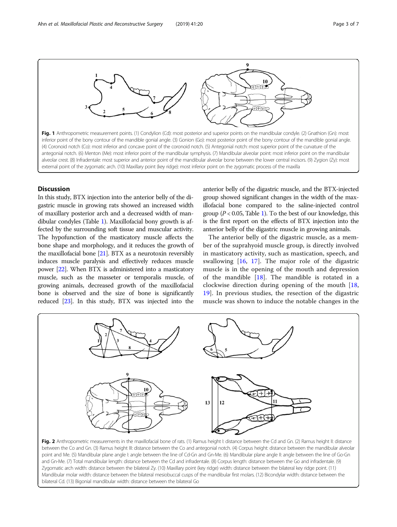<span id="page-2-0"></span>

## **Discussion**

In this study, BTX injection into the anterior belly of the digastric muscle in growing rats showed an increased width of maxillary posterior arch and a decreased width of mandibular condyles (Table [1](#page-3-0)). Maxillofacial bony growth is affected by the surrounding soft tissue and muscular activity. The hypofunction of the masticatory muscle affects the bone shape and morphology, and it reduces the growth of the maxillofacial bone [\[21\]](#page-6-0). BTX as a neurotoxin reversibly induces muscle paralysis and effectively reduces muscle power [\[22\]](#page-6-0). When BTX is administered into a masticatory muscle, such as the masseter or temporalis muscle, of growing animals, decreased growth of the maxillofacial bone is observed and the size of bone is significantly reduced [\[23\]](#page-6-0). In this study, BTX was injected into the

anterior belly of the digastric muscle, and the BTX-injected group showed significant changes in the width of the maxillofacial bone compared to the saline-injected control group ( $P < 0.05$ , Table [1\)](#page-3-0). To the best of our knowledge, this is the first report on the effects of BTX injection into the anterior belly of the digastric muscle in growing animals.

The anterior belly of the digastric muscle, as a member of the suprahyoid muscle group, is directly involved in masticatory activity, such as mastication, speech, and swallowing  $[16, 17]$  $[16, 17]$  $[16, 17]$ . The major role of the digastric muscle is in the opening of the mouth and depression of the mandible [[18\]](#page-6-0). The mandible is rotated in a clockwise direction during opening of the mouth [\[18](#page-6-0), [19\]](#page-6-0). In previous studies, the resection of the digastric muscle was shown to induce the notable changes in the



Fig. 2 Anthropometric measurements in the maxillofacial bone of rats. (1) Ramus height I: distance between the Cd and Gn. (2) Ramus height II: distance between the Co and Gn. (3) Ramus height III: distance between the Co and antegonial notch. (4) Corpus height: distance between the mandibular alveolar point and Me. (5) Mandibular plane angle I: angle between the line of Cd-Gn and Gn-Me. (6) Mandibular plane angle II: angle between the line of Go-Gn and Gn-Me. (7) Total mandibular length: distance between the Cd and infradentale. (8) Corpus length: distance between the Go and infradentale. (9) Zygomatic arch width: distance between the bilateral Zy. (10) Maxillary point (key ridge) width: distance between the bilateral key ridge point. (11) Mandibular molar width: distance between the bilateral mesiobuccal cusps of the mandibular first molars. (12) Bicondylar width: distance between the bilateral Cd. (13) Bigonial mandibular width: distance between the bilateral Go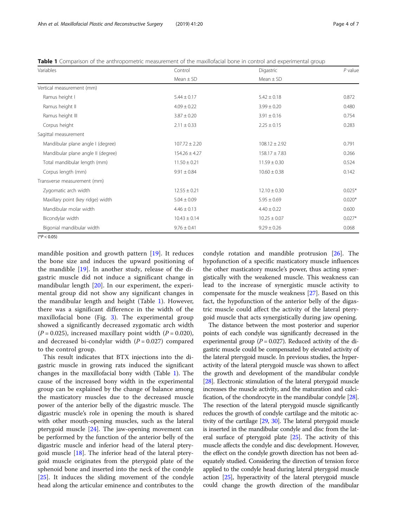| Variables                          | Control<br>$Mean \pm SD$ | Digastric<br>Mean $\pm$ SD | $P$ value |
|------------------------------------|--------------------------|----------------------------|-----------|
|                                    |                          |                            |           |
| Ramus height I                     | $5.44 \pm 0.17$          | $5.42 \pm 0.18$            | 0.872     |
| Ramus height II                    | $4.09 \pm 0.22$          | $3.99 \pm 0.20$            | 0.480     |
| Ramus height III                   | $3.87 \pm 0.20$          | $3.91 \pm 0.16$            | 0.754     |
| Corpus height                      | $2.11 \pm 0.33$          | $2.25 \pm 0.15$            | 0.283     |
| Sagittal measurement               |                          |                            |           |
| Mandibular plane angle I (degree)  | $107.72 \pm 2.20$        | $108.12 \pm 2.92$          | 0.791     |
| Mandibular plane angle II (degree) | $154.26 \pm 4.27$        | $158.17 \pm 7.83$          | 0.266     |
| Total mandibular length (mm)       | $11.50 \pm 0.21$         | $11.59 \pm 0.30$           | 0.524     |
| Corpus length (mm)                 | $9.91 \pm 0.84$          | $10.60 \pm 0.38$           | 0.142     |
| Transverse measurement (mm)        |                          |                            |           |
| Zygomatic arch width               | $12.55 \pm 0.21$         | $12.10 \pm 0.30$           | $0.025*$  |
| Maxillary point (key ridge) width  | $5.04 \pm 0.09$          | $5.95 \pm 0.69$            | $0.020*$  |
| Mandibular molar width             | $4.46 \pm 0.13$          | $4.40 \pm 0.22$            | 0.600     |
| Bicondylar width                   | $10.43 \pm 0.14$         | $10.25 \pm 0.07$           | $0.027*$  |
| Bigonial mandibular width          | $9.76 \pm 0.41$          | $9.29 \pm 0.26$            | 0.068     |
| $(*P < 0.05)$                      |                          |                            |           |

<span id="page-3-0"></span>Table 1 Comparison of the anthropometric measurement of the maxillofacial bone in control and experimental group

mandible position and growth pattern [\[19](#page-6-0)]. It reduces the bone size and induces the upward positioning of the mandible [[19\]](#page-6-0). In another study, release of the digastric muscle did not induce a significant change in mandibular length [\[20](#page-6-0)]. In our experiment, the experimental group did not show any significant changes in the mandibular length and height (Table 1). However, there was a significant difference in the width of the maxillofacial bone (Fig. [3](#page-4-0)). The experimental group showed a significantly decreased zygomatic arch width  $(P = 0.025)$ , increased maxillary point width  $(P = 0.020)$ , and decreased bi-condylar width  $(P = 0.027)$  compared to the control group.

This result indicates that BTX injections into the digastric muscle in growing rats induced the significant changes in the maxillofacial bony width (Table 1). The cause of the increased bony width in the experimental group can be explained by the change of balance among the masticatory muscles due to the decreased muscle power of the anterior belly of the digastric muscle. The digastric muscle's role in opening the mouth is shared with other mouth-opening muscles, such as the lateral pterygoid muscle [\[24\]](#page-6-0). The jaw-opening movement can be performed by the function of the anterior belly of the digastric muscle and inferior head of the lateral pterygoid muscle  $[18]$  $[18]$ . The inferior head of the lateral pterygoid muscle originates from the pterygoid plate of the sphenoid bone and inserted into the neck of the condyle [[25\]](#page-6-0). It induces the sliding movement of the condyle head along the articular eminence and contributes to the condyle rotation and mandible protrusion [[26\]](#page-6-0). The hypofunction of a specific masticatory muscle influences the other masticatory muscle's power, thus acting synergistically with the weakened muscle. This weakness can lead to the increase of synergistic muscle activity to compensate for the muscle weakness [\[27\]](#page-6-0). Based on this fact, the hypofunction of the anterior belly of the digastric muscle could affect the activity of the lateral pterygoid muscle that acts synergistically during jaw opening.

The distance between the most posterior and superior points of each condyle was significantly decreased in the experimental group ( $P = 0.027$ ). Reduced activity of the digastric muscle could be compensated by elevated activity of the lateral pterygoid muscle. In previous studies, the hyperactivity of the lateral pterygoid muscle was shown to affect the growth and development of the mandibular condyle [[28](#page-6-0)]. Electronic stimulation of the lateral pterygoid muscle increases the muscle activity, and the maturation and calcification, of the chondrocyte in the mandibular condyle [\[28](#page-6-0)]. The resection of the lateral pterygoid muscle significantly reduces the growth of condyle cartilage and the mitotic activity of the cartilage [[29](#page-6-0), [30\]](#page-6-0). The lateral pterygoid muscle is inserted in the mandibular condyle and disc from the lateral surface of pterygoid plate [\[25\]](#page-6-0). The activity of this muscle affects the condyle and disc development. However, the effect on the condyle growth direction has not been adequately studied. Considering the direction of tension force applied to the condyle head during lateral pterygoid muscle action [[25\]](#page-6-0), hyperactivity of the lateral pterygoid muscle could change the growth direction of the mandibular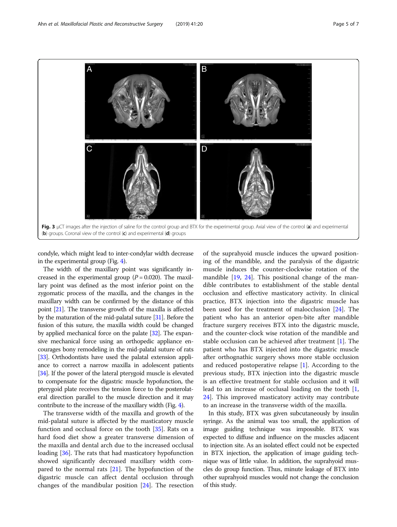<span id="page-4-0"></span>

condyle, which might lead to inter-condylar width decrease in the experimental group (Fig. [4](#page-5-0)).

The width of the maxillary point was significantly increased in the experimental group  $(P = 0.020)$ . The maxillary point was defined as the most inferior point on the zygomatic process of the maxilla, and the changes in the maxillary width can be confirmed by the distance of this point [\[21\]](#page-6-0). The transverse growth of the maxilla is affected by the maturation of the mid-palatal suture [\[31](#page-6-0)]. Before the fusion of this suture, the maxilla width could be changed by applied mechanical force on the palate [[32](#page-6-0)]. The expansive mechanical force using an orthopedic appliance encourages bony remodeling in the mid-palatal suture of rats [[33](#page-6-0)]. Orthodontists have used the palatal extension appliance to correct a narrow maxilla in adolescent patients [[34](#page-6-0)]. If the power of the lateral pterygoid muscle is elevated to compensate for the digastric muscle hypofunction, the pterygoid plate receives the tension force to the posterolateral direction parallel to the muscle direction and it may contribute to the increase of the maxillary width (Fig. [4](#page-5-0)).

The transverse width of the maxilla and growth of the mid-palatal suture is affected by the masticatory muscle function and occlusal force on the tooth [\[35](#page-6-0)]. Rats on a hard food diet show a greater transverse dimension of the maxilla and dental arch due to the increased occlusal loading [[36\]](#page-6-0). The rats that had masticatory hypofunction showed significantly decreased maxillary width compared to the normal rats [\[21](#page-6-0)]. The hypofunction of the digastric muscle can affect dental occlusion through changes of the mandibular position [[24\]](#page-6-0). The resection

of the suprahyoid muscle induces the upward positioning of the mandible, and the paralysis of the digastric muscle induces the counter-clockwise rotation of the mandible [\[19](#page-6-0), [24\]](#page-6-0). This positional change of the mandible contributes to establishment of the stable dental occlusion and effective masticatory activity. In clinical practice, BTX injection into the digastric muscle has been used for the treatment of malocclusion [[24\]](#page-6-0). The patient who has an anterior open-bite after mandible fracture surgery receives BTX into the digastric muscle, and the counter-clock wise rotation of the mandible and stable occlusion can be achieved after treatment [\[1\]](#page-6-0). The patient who has BTX injected into the digastric muscle after orthognathic surgery shows more stable occlusion and reduced postoperative relapse [[1\]](#page-6-0). According to the previous study, BTX injection into the digastric muscle is an effective treatment for stable occlusion and it will lead to an increase of occlusal loading on the tooth [\[1](#page-6-0), [24\]](#page-6-0). This improved masticatory activity may contribute to an increase in the transverse width of the maxilla.

In this study, BTX was given subcutaneously by insulin syringe. As the animal was too small, the application of image guiding technique was impossible. BTX was expected to diffuse and influence on the muscles adjacent to injection site. As an isolated effect could not be expected in BTX injection, the application of image guiding technique was of little value. In addition, the suprahyoid muscles do group function. Thus, minute leakage of BTX into other suprahyoid muscles would not change the conclusion of this study.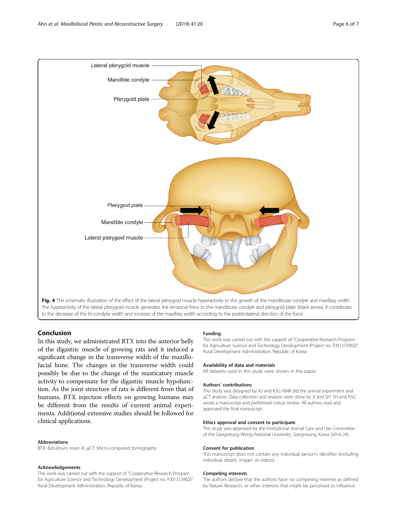<span id="page-5-0"></span>

#### Conclusion

In this study, we administrated BTX into the anterior belly of the digastric muscle of growing rats and it induced a significant change in the transverse width of the maxillofacial bone. The changes in the transverse width could possibly be due to the change of the masticatory muscle activity to compensate for the digastric muscle hypofunction. As the joint structure of rats is different from that of humans, BTX injection effects on growing humans may be different from the results of current animal experiments. Additional extensive studies should be followed for clinical applications.

#### Abbreviations

BTX: Botulinum toxin A; μCT: Micro-computed tomography

#### Acknowledgements

This work was carried out with the support of "Cooperative Research Program for Agriculture Science and Technology Development (Project no. PJ01313902)" Rural Development Administration, Republic of Korea.

#### Funding

This work was carried out with the support of "Cooperative Research Program for Agriculture Science and Technology Development (Project no. PJ01313902)" Rural Development Administration, Republic of Korea.

#### Availability of data and materials

All datasets used in this study were shown in this paper.

#### Authors' contributions

This study was designed by AJ and KSG. KMK did the animal experiment and μCT analysis. Data collection and analysis were done by JI and SH. SH and KSG wrote a manuscript and performed critical review. All authors read and approved the final manuscript.

#### Ethics approval and consent to participate

This study was approved by the Institutional Animal Care and Use Committee of the Gangneung-Wonju National University, Gangneung, Korea (2016-24).

#### Consent for publication

This manuscript does not contain any individual person's identifier (including individual details, images or videos).

#### Competing interests

The authors declare that the authors have no competing interests as defined by Nature Research, or other interests that might be perceived to influence